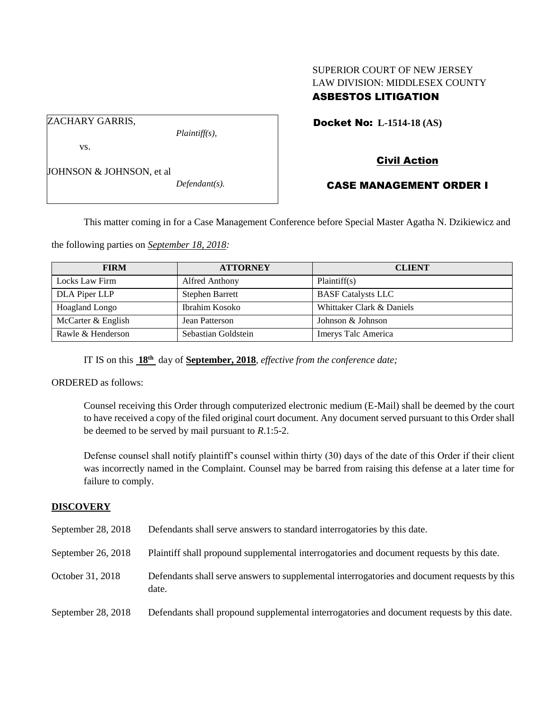# SUPERIOR COURT OF NEW JERSEY LAW DIVISION: MIDDLESEX COUNTY ASBESTOS LITIGATION

Docket No: **L-1514-18 (AS)** 

ZACHARY GARRIS,

vs.

*Plaintiff(s),*

# Civil Action

# JOHNSON & JOHNSON, et al

*Defendant(s).*

# CASE MANAGEMENT ORDER I

This matter coming in for a Case Management Conference before Special Master Agatha N. Dzikiewicz and

the following parties on *September 18, 2018:*

| <b>FIRM</b>           | <b>ATTORNEY</b>        | <b>CLIENT</b>             |
|-----------------------|------------------------|---------------------------|
| Locks Law Firm        | Alfred Anthony         | Plaintiff(s)              |
| DLA Piper LLP         | <b>Stephen Barrett</b> | <b>BASF</b> Catalysts LLC |
| <b>Hoagland Longo</b> | Ibrahim Kosoko         | Whittaker Clark & Daniels |
| McCarter & English    | Jean Patterson         | Johnson & Johnson         |
| Rawle & Henderson     | Sebastian Goldstein    | Imerys Talc America       |

IT IS on this **18th** day of **September, 2018**, *effective from the conference date;*

ORDERED as follows:

Counsel receiving this Order through computerized electronic medium (E-Mail) shall be deemed by the court to have received a copy of the filed original court document. Any document served pursuant to this Order shall be deemed to be served by mail pursuant to *R*.1:5-2.

Defense counsel shall notify plaintiff's counsel within thirty (30) days of the date of this Order if their client was incorrectly named in the Complaint. Counsel may be barred from raising this defense at a later time for failure to comply.

## **DISCOVERY**

| September 28, 2018 | Defendants shall serve answers to standard interrogatories by this date.                              |
|--------------------|-------------------------------------------------------------------------------------------------------|
| September 26, 2018 | Plaintiff shall propound supplemental interrogatories and document requests by this date.             |
| October 31, 2018   | Defendants shall serve answers to supplemental interrogatories and document requests by this<br>date. |
| September 28, 2018 | Defendants shall propound supplemental interrogatories and document requests by this date.            |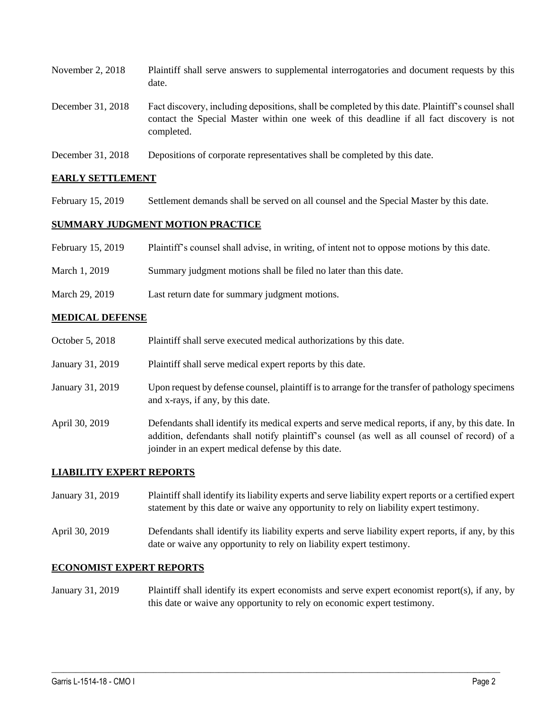| November $2, 2018$ | Plaintiff shall serve answers to supplemental interrogatories and document requests by this<br>date.                                                                                                        |
|--------------------|-------------------------------------------------------------------------------------------------------------------------------------------------------------------------------------------------------------|
| December 31, 2018  | Fact discovery, including depositions, shall be completed by this date. Plaintiff's counsel shall<br>contact the Special Master within one week of this deadline if all fact discovery is not<br>completed. |
| 21.2010            | $\sim$ $\sim$ $\sim$ $\sim$ $\sim$ $\sim$                                                                                                                                                                   |

December 31, 2018 Depositions of corporate representatives shall be completed by this date.

### **EARLY SETTLEMENT**

February 15, 2019 Settlement demands shall be served on all counsel and the Special Master by this date.

## **SUMMARY JUDGMENT MOTION PRACTICE**

| February 15, 2019 | Plaintiff's counsel shall advise, in writing, of intent not to oppose motions by this date. |  |  |  |
|-------------------|---------------------------------------------------------------------------------------------|--|--|--|
|-------------------|---------------------------------------------------------------------------------------------|--|--|--|

- March 1, 2019 Summary judgment motions shall be filed no later than this date.
- March 29, 2019 Last return date for summary judgment motions.

#### **MEDICAL DEFENSE**

- October 5, 2018 Plaintiff shall serve executed medical authorizations by this date.
- January 31, 2019 Plaintiff shall serve medical expert reports by this date.
- January 31, 2019 Upon request by defense counsel, plaintiff is to arrange for the transfer of pathology specimens and x-rays, if any, by this date.
- April 30, 2019 Defendants shall identify its medical experts and serve medical reports, if any, by this date. In addition, defendants shall notify plaintiff's counsel (as well as all counsel of record) of a joinder in an expert medical defense by this date.

## **LIABILITY EXPERT REPORTS**

- January 31, 2019 Plaintiff shall identify its liability experts and serve liability expert reports or a certified expert statement by this date or waive any opportunity to rely on liability expert testimony.
- April 30, 2019 Defendants shall identify its liability experts and serve liability expert reports, if any, by this date or waive any opportunity to rely on liability expert testimony.

# **ECONOMIST EXPERT REPORTS**

January 31, 2019 Plaintiff shall identify its expert economists and serve expert economist report(s), if any, by this date or waive any opportunity to rely on economic expert testimony.

 $\_$  ,  $\_$  ,  $\_$  ,  $\_$  ,  $\_$  ,  $\_$  ,  $\_$  ,  $\_$  ,  $\_$  ,  $\_$  ,  $\_$  ,  $\_$  ,  $\_$  ,  $\_$  ,  $\_$  ,  $\_$  ,  $\_$  ,  $\_$  ,  $\_$  ,  $\_$  ,  $\_$  ,  $\_$  ,  $\_$  ,  $\_$  ,  $\_$  ,  $\_$  ,  $\_$  ,  $\_$  ,  $\_$  ,  $\_$  ,  $\_$  ,  $\_$  ,  $\_$  ,  $\_$  ,  $\_$  ,  $\_$  ,  $\_$  ,